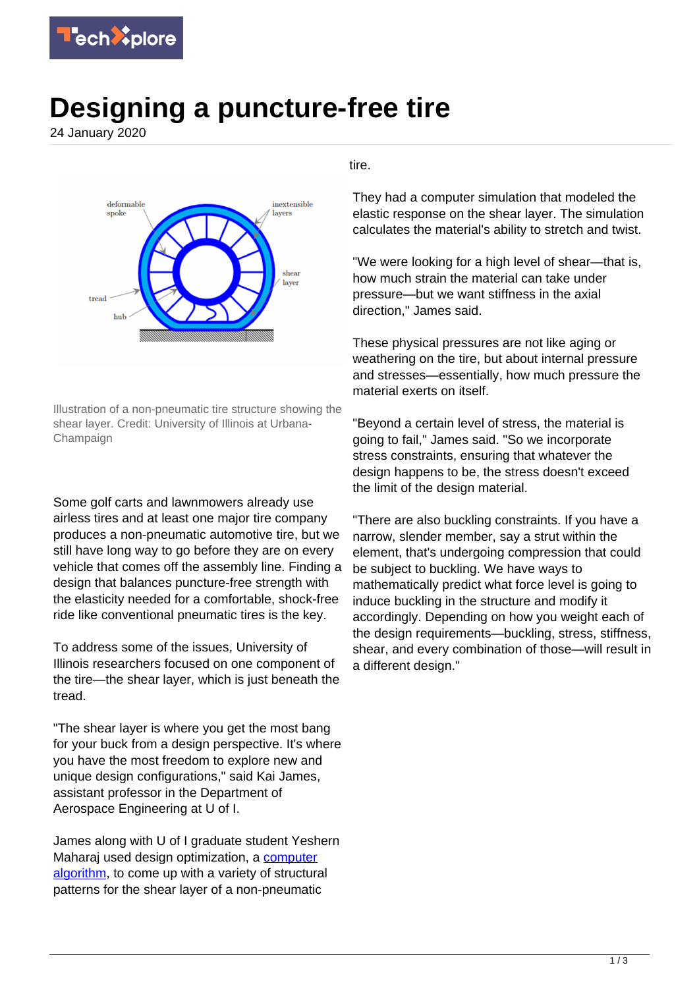

## **Designing a puncture-free tire**

24 January 2020



Illustration of a non-pneumatic tire structure showing the shear layer. Credit: University of Illinois at Urbana-Champaign

Some golf carts and lawnmowers already use airless tires and at least one major tire company produces a non-pneumatic automotive tire, but we still have long way to go before they are on every vehicle that comes off the assembly line. Finding a design that balances puncture-free strength with the elasticity needed for a comfortable, shock-free ride like conventional pneumatic tires is the key.

To address some of the issues, University of Illinois researchers focused on one component of the tire—the shear layer, which is just beneath the tread.

"The shear layer is where you get the most bang for your buck from a design perspective. It's where you have the most freedom to explore new and unique design configurations," said Kai James, assistant professor in the Department of Aerospace Engineering at U of I.

James along with U of I graduate student Yeshern Maharaj used design optimization, a [computer](https://techxplore.com/tags/computer+algorithm/) [algorithm,](https://techxplore.com/tags/computer+algorithm/) to come up with a variety of structural patterns for the shear layer of a non-pneumatic

## tire.

They had a computer simulation that modeled the elastic response on the shear layer. The simulation calculates the material's ability to stretch and twist.

"We were looking for a high level of shear—that is, how much strain the material can take under pressure—but we want stiffness in the axial direction," James said.

These physical pressures are not like aging or weathering on the tire, but about internal pressure and stresses—essentially, how much pressure the material exerts on itself.

"Beyond a certain level of stress, the material is going to fail," James said. "So we incorporate stress constraints, ensuring that whatever the design happens to be, the stress doesn't exceed the limit of the design material.

"There are also buckling constraints. If you have a narrow, slender member, say a strut within the element, that's undergoing compression that could be subject to buckling. We have ways to mathematically predict what force level is going to induce buckling in the structure and modify it accordingly. Depending on how you weight each of the design requirements—buckling, stress, stiffness, shear, and every combination of those—will result in a different design."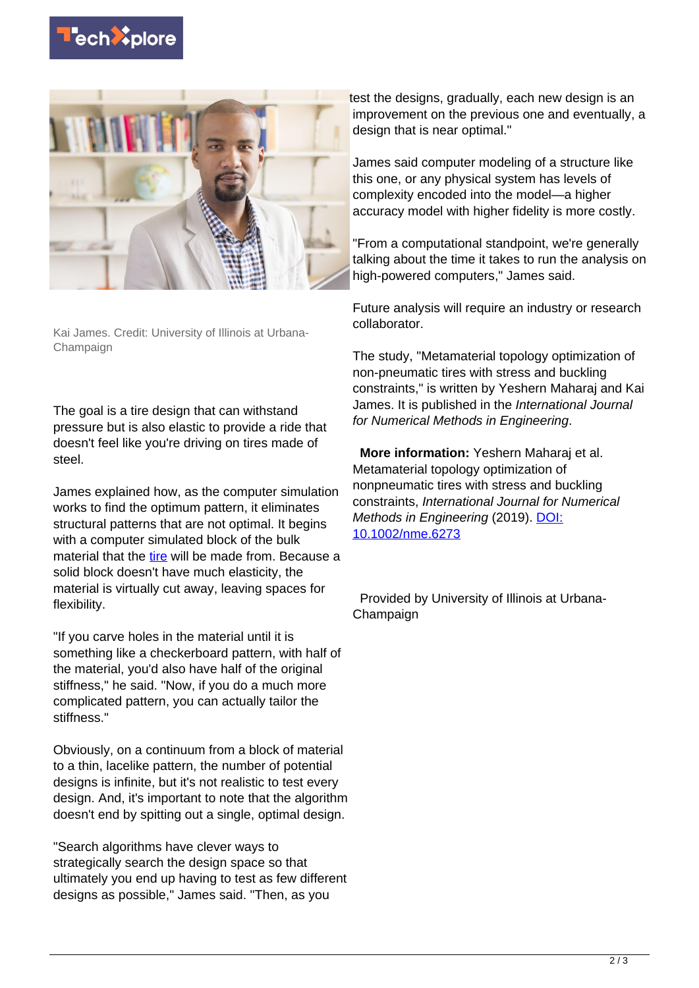



Kai James. Credit: University of Illinois at Urbana-Champaign

The goal is a tire design that can withstand pressure but is also elastic to provide a ride that doesn't feel like you're driving on tires made of steel.

James explained how, as the computer simulation works to find the optimum pattern, it eliminates structural patterns that are not optimal. It begins with a computer simulated block of the bulk material that the [tire](https://techxplore.com/tags/tire/) will be made from. Because a solid block doesn't have much elasticity, the material is virtually cut away, leaving spaces for flexibility.

"If you carve holes in the material until it is something like a checkerboard pattern, with half of the material, you'd also have half of the original stiffness," he said. "Now, if you do a much more complicated pattern, you can actually tailor the stiffness."

Obviously, on a continuum from a block of material to a thin, lacelike pattern, the number of potential designs is infinite, but it's not realistic to test every design. And, it's important to note that the algorithm doesn't end by spitting out a single, optimal design.

"Search algorithms have clever ways to strategically search the design space so that ultimately you end up having to test as few different designs as possible," James said. "Then, as you

test the designs, gradually, each new design is an improvement on the previous one and eventually, a design that is near optimal."

James said computer modeling of a structure like this one, or any physical system has levels of complexity encoded into the model—a higher accuracy model with higher fidelity is more costly.

"From a computational standpoint, we're generally talking about the time it takes to run the analysis on high-powered computers," James said.

Future analysis will require an industry or research collaborator.

The study, "Metamaterial topology optimization of non-pneumatic tires with stress and buckling constraints," is written by Yeshern Maharaj and Kai James. It is published in the International Journal for Numerical Methods in Engineering.

 **More information:** Yeshern Maharaj et al. Metamaterial topology optimization of nonpneumatic tires with stress and buckling constraints, International Journal for Numerical Methods in Engineering (2019). [DOI:](http://dx.doi.org/10.1002/nme.6273) [10.1002/nme.6273](http://dx.doi.org/10.1002/nme.6273)

 Provided by University of Illinois at Urbana-Champaign